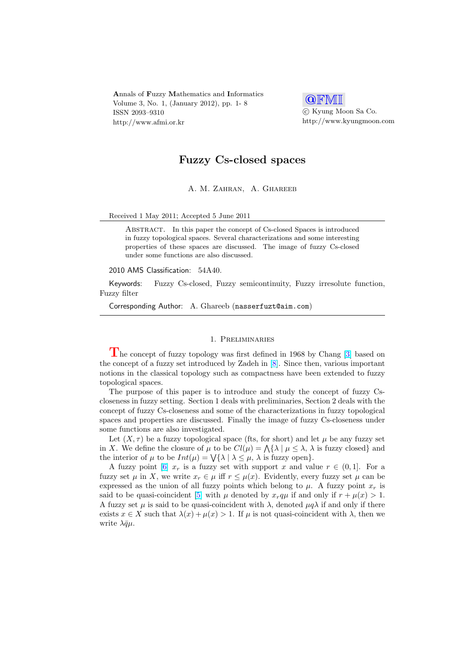Annals of Fuzzy Mathematics and Informatics Volume 3, No. 1, (January 2012), pp. 1- 8 ISSN 2093–9310 http://www.afmi.or.kr



°c Kyung Moon Sa Co. http://www.kyungmoon.com

# Fuzzy Cs-closed spaces

A. M. Zahran, A. Ghareeb

## Received 1 May 2011; Accepted 5 June 2011

ABSTRACT. In this paper the concept of Cs-closed Spaces is introduced in fuzzy topological spaces. Several characterizations and some interesting properties of these spaces are discussed. The image of fuzzy Cs-closed under some functions are also discussed.

#### 2010 AMS Classification: 54A40.

Keywords: Fuzzy Cs-closed, Fuzzy semicontinuity, Fuzzy irresolute function, Fuzzy filter

Corresponding Author: A. Ghareeb (nasserfuzt@aim.com)

## 1. Preliminaries

The concept of fuzzy topology was first defined in 1968 by Chang [3] based on the concept of a fuzzy set introduced by Zadeh in [8]. Since then, various important notions in the classical topology such as compactness have been extended to fuzzy topological spaces.

The purpose of this paper is to introduce and study the concept [of](#page-7-0) fuzzy Cscloseness in fuzzy setting. Section 1 deals with prel[im](#page-7-0)inaries, Section 2 deals with the concept of fuzzy Cs-closeness and some of the characterizations in fuzzy topological spaces and properties are discussed. Finally the image of fuzzy Cs-closeness under some functions are also investigated.

Let  $(X, \tau)$  be a fuzzy topological space (fts, for short) and let  $\mu$  be any fuzzy set Let  $(X, \tau)$  be a fuzzy topological space (its, for short) and let  $\mu$  be any fuzzy set<br>in X. We define the closure of  $\mu$  to be  $Cl(\mu) = \Lambda\{\lambda \mid \mu \leq \lambda, \lambda \text{ is fuzzy closed}\}\)$ In  $\Lambda$ . We define the closure of  $\mu$  to be  $C\ell(\mu) = \Lambda(\lambda | \mu \leq \lambda, \lambda)$ <br>the interior of  $\mu$  to be  $Int(\mu) = \sqrt{\lambda} | \lambda \leq \mu, \lambda$  is fuzzy open $\}$ .

A fuzzy point [6]  $x_r$  is a fuzzy set with support x and value  $r \in (0,1]$ . For a fuzzy set  $\mu$  in X, we write  $x_r \in \mu$  iff  $r \leq \mu(x)$ . Evidently, every fuzzy set  $\mu$  can be expressed as the union of all fuzzy points which belong to  $\mu$ . A fuzzy point  $x_r$  is said to be quasi-coincident [5] with  $\mu$  denoted by  $x_r q\mu$  if and only if  $r + \mu(x) > 1$ . A fuzzy set  $\mu$  is s[aid](#page-7-0) to be quasi-coincident with  $\lambda$ , denoted  $\mu q \lambda$  if and only if there exists  $x \in X$  such that  $\lambda(x) + \mu(x) > 1$ . If  $\mu$  is not quasi-coincident with  $\lambda$ , then we write  $\lambda \bar{q}\mu$ .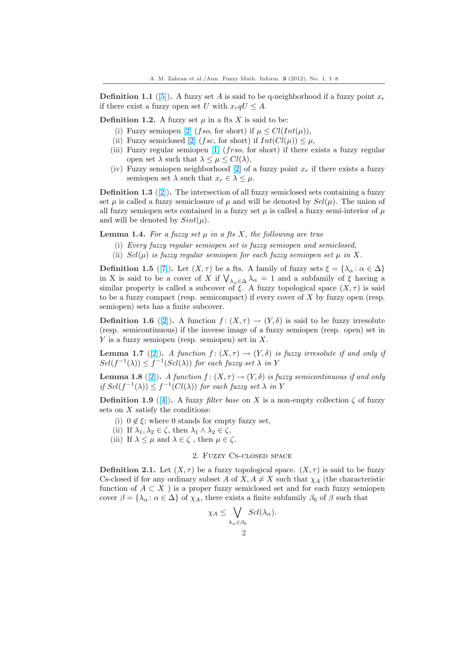<span id="page-1-0"></span>**Definition 1.1** ([5]). A fuzzy set A is said to be q-neighborhood if a fuzzy point  $x_r$ if there exist a fuzzy open set U with  $x_r qU \leq A$ .

**Definition 1.2.** A fuzzy set  $\mu$  in a fts X is said to be:

- (i) Fuzzy semiopen [2] (fso, for short) if  $\mu \leq Cl(Int(\mu)),$
- (ii) Fuzzy se[mic](#page-7-0)losed [2] (fsc, for short) if  $Int(Cl(\mu)) \leq \mu$ ,
- (iii) Fuzzy regular semiopen  $[1]$  (frso, for short) if there exists a fuzzy regular open set  $\lambda$  such that  $\lambda \leq \mu \leq Cl(\lambda)$ ,
- (iv) Fuzzy semiopen [ne](#page-7-0)ighborhood [2] of a fuzzy point  $x_r$  if there exists a fuzzy semiopen set  $\lambda$  su[ch](#page-7-0) that  $x_r \in \lambda \leq \mu$ .

**Definition 1.3** ([2]). The inters[ect](#page-7-0)ion of all fuzzy semiclosed sets containing a fuzzy set  $\mu$  is called a fuzzy semiclosure of  $\mu$  and will be denoted by  $Scl(\mu)$ . The union of all f[uz](#page-7-0)zy semiopen sets contained in a fuzzy set  $\mu$  is called a fuzzy semi-interior of  $\mu$ and will be denoted by  $Sint(\mu)$ .

**Lemma 1.4.** Fo[r a](#page-7-0) fuzzy set  $\mu$  in a fts X, the following are true

- (i) Every fuzzy regular semiopen set is fuzzy semiopen and semiclosed,
- (ii)  $Scl(\mu)$  is fuzzy regular semiopen for each fuzzy semiopen set  $\mu$  in X.

**Definition 1.5** ([7]). Let  $(X, \tau)$  be a fts. A family of fuzzy sets  $\xi = {\lambda_\alpha : \alpha \in \Delta}$ **Definition 1.5** ([*i*]). Let  $(X, 7)$  be a fits. A family of fluzzy sets  $\xi = {\lambda_{\alpha} : \alpha \in \Delta}$  in X is said to be a cover of X if  $\bigvee_{\lambda_{\alpha} \in \Delta} \lambda_{\alpha} = 1$  and a subfamily of  $\xi$  having a similar property is called a subcover of  $\xi$ . A fuzzy topological space  $(X, \tau)$  is said to be a fuzzy compact (resp. semicompact) if every cover of  $X$  by fuzzy open (resp. semiopen) sets ha[s a](#page-7-0) finite subcover.

**Definition 1.6** ([2]). A function  $f: (X, \tau) \to (Y, \delta)$  is said to be fuzzy irresolute (resp. semicontinuous) if the inverse image of a fuzzy semiopen (resp. open) set in Y is a fuzzy semiopen (resp. semiopen) set in  $X$ .

**Lemma 1.7** ([2]). A function  $f: (X, \tau) \to (Y, \delta)$  is fuzzy irresolute if and only if  $Scl(f^{-1}(\lambda)) \leq f^{-1}(Scl(\lambda))$  $Scl(f^{-1}(\lambda)) \leq f^{-1}(Scl(\lambda))$  $Scl(f^{-1}(\lambda)) \leq f^{-1}(Scl(\lambda))$  for each fuzzy set  $\lambda$  in Y

**Lemma 1.8** ([2]). A function  $f : (X, \tau) \to (Y, \delta)$  is fuzzy semicontinuous if and only if  $Scl(f^{-1}(\lambda)) \leq f^{-1}(Cl(\lambda))$  for each fuzzy set  $\lambda$  in Y

**Definition 1.9** ([4]). A fuzzy *filter base* on X is a non-empty collection  $\zeta$  of fuzzy sets on  $X$  satisfy the conditions:

- (i)  $0 \notin \mathcal{E}$ ; [wh](#page-7-0)ere 0 stands for empty fuzzy set,
- (ii) If  $\lambda_1, \lambda_2 \in \zeta$ , then  $\lambda_1 \wedge \lambda_2 \in \zeta$ ,
- (iii) If  $\lambda \leq \mu$  [and](#page-7-0)  $\lambda \in \zeta$ , then  $\mu \in \zeta$ .

## 2. Fuzzy Cs-closed space

**Definition 2.1.** Let  $(X, \tau)$  be a fuzzy topological space.  $(X, \tau)$  is said to be fuzzy Cs-closed if for any ordinary subset A of  $X, A \neq X$  such that  $\chi_A$  (the characteristic function of  $A \subset X$ ) is a proper fuzzy semiclosed set and for each fuzzy semiopen cover  $\beta = {\lambda_\alpha : \alpha \in \Delta}$  of  $\chi_A$ , there exists a finite subfamily  $\beta_0$  of  $\beta$  such that  $\ddot{\phantom{0}}$ 

$$
\chi_A \leq \bigvee_{\lambda_\alpha \in \beta_0} \mathcal{S}cl(\lambda_\alpha).
$$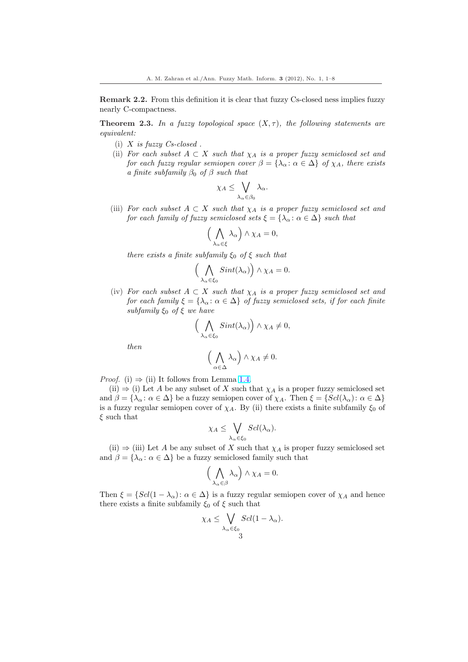Remark 2.2. From this definition it is clear that fuzzy Cs-closed ness implies fuzzy nearly C-compactness.

**Theorem 2.3.** In a fuzzy topological space  $(X, \tau)$ , the following statements are equivalent:

- (i)  $X$  is fuzzy  $Cs$ -closed.
- (ii) For each subset  $A \subset X$  such that  $\chi_A$  is a proper fuzzy semiclosed set and for each fuzzy regular semiopen cover  $\beta = {\lambda_\alpha : \alpha \in \Delta}$  of  $\chi_A$ , there exists a finite subfamily  $\beta_0$  of  $\beta$  such that

$$
\chi_A \leq \bigvee_{\lambda_\alpha \in \beta_0} \lambda_\alpha.
$$

(iii) For each subset  $A \subset X$  such that  $\chi_A$  is a proper fuzzy semiclosed set and for each family of fuzzy semiclosed sets  $\xi = \{\lambda_\alpha : \alpha \in \Delta\}$  such that

$$
\left(\bigwedge_{\lambda_{\alpha}\in\xi}\lambda_{\alpha}\right)\wedge\chi_{A}=0,
$$

there exists a finite subfamily  $\xi_0$  of  $\xi$  such that

$$
\left(\bigwedge_{\lambda_{\alpha}\in\xi_{0}}Sint(\lambda_{\alpha})\right)\wedge\chi_{A}=0.
$$

(iv) For each subset  $A \subset X$  such that  $\chi_A$  is a proper fuzzy semiclosed set and for each family  $\xi = {\lambda_\alpha : \alpha \in \Delta}$  of fuzzy semiclosed sets, if for each finite subfamily  $\xi_0$  of  $\xi$  we have ´

$$
\Big(\bigwedge_{\lambda_{\alpha}\in\xi_{0}}Sint(\lambda_{\alpha})\Big)\wedge\chi_{A}\neq0,
$$

then

$$
\left(\bigwedge_{\alpha\in\Delta}\lambda_{\alpha}\right)\wedge\chi_{A}\neq0.
$$

*Proof.* (i)  $\Rightarrow$  (ii) It follows from Lemma 1.4.

(ii)  $\Rightarrow$  (i) Let A be any subset of X such that  $\chi_A$  is a proper fuzzy semiclosed set and  $\beta = {\lambda_\alpha : \alpha \in \Delta}$  be a fuzzy semiopen cover of  $\chi_A$ . Then  $\xi = {Scl(\lambda_\alpha) : \alpha \in \Delta}$ is a fuzzy regular semiopen cover of  $\chi_A$ . By (ii) there exists a finite subfamily  $\xi_0$  of  $\xi$  such that  $\ddot{\phantom{0}}$ 

$$
\chi_A \leq \bigvee_{\lambda_\alpha \in \xi_0} \mathcal{S}cl(\lambda_\alpha).
$$

(ii)  $\Rightarrow$  (iii) Let A be any subset of X such that  $\chi_A$  is proper fuzzy semiclosed set and  $\beta = {\lambda_\alpha : \alpha \in \Delta}$  be a fuzzy semiclosed family such that

$$
\left(\bigwedge_{\lambda_{\alpha}\in\beta}\lambda_{\alpha}\right)\wedge\chi_{A}=0.
$$

Then  $\xi = \{Scl(1 - \lambda_{\alpha}) : \alpha \in \Delta\}$  is a fuzzy regular semiopen cover of  $\chi_A$  and hence there exists a finite subfamily  $\xi_0$  of  $\xi$  such that

$$
\chi_A \leq \bigvee_{\lambda_\alpha \in \xi_0} \frac{Scl(1-\lambda_\alpha)}{3}.
$$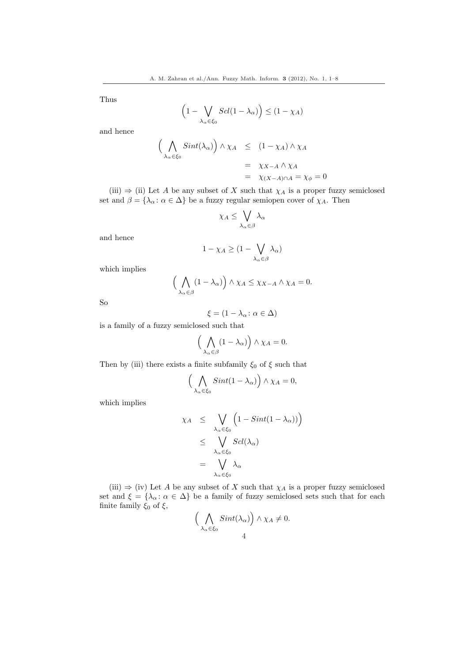Thus

$$
\left(1 - \bigvee_{\lambda_{\alpha} \in \xi_0} \operatorname{Sel}(1 - \lambda_{\alpha})\right) \le (1 - \chi_A)
$$

and hence

$$
\left(\bigwedge_{\lambda_{\alpha}\in\xi_{0}} Sint(\lambda_{\alpha})\right) \wedge \chi_{A} \leq (1-\chi_{A}) \wedge \chi_{A}
$$
  
=  $\chi_{X-A} \wedge \chi_{A}$   
=  $\chi_{(X-A)\cap A} = \chi_{\phi} = 0$ 

(iii)  $\Rightarrow$  (ii) Let A be any subset of X such that  $\chi_A$  is a proper fuzzy semiclosed set and  $\beta = {\lambda_\alpha : \alpha \in \Delta}$  be a fuzzy regular semiopen cover of  $\chi_A$ . Then

$$
\chi_A \leq \bigvee_{\lambda_\alpha \in \beta} \lambda_\alpha
$$

and hence

$$
1 - \chi_A \ge (1 - \bigvee_{\lambda_\alpha \in \beta} \lambda_\alpha)
$$

which implies

$$
\left(\bigwedge_{\lambda_{\alpha}\in\beta}(1-\lambda_{\alpha})\right)\wedge\chi_A\leq\chi_{X-A}\wedge\chi_A=0.
$$

So

$$
\xi = (1 - \lambda_{\alpha} : \alpha \in \Delta)
$$

is a family of a fuzzy semiclosed such that

$$
\Big(\bigwedge_{\lambda_\alpha\in\beta}(1-\lambda_\alpha)\Big)\wedge\chi_A=0.
$$

Then by (iii) there exists a finite subfamily  $\xi_0$  of  $\xi$  such that

$$
\left(\bigwedge_{\lambda_{\alpha}\in\xi_{0}}Sint(1-\lambda_{\alpha})\right)\wedge\chi_{A}=0,
$$

which implies

$$
\chi_A \leq \bigvee_{\lambda_\alpha \in \xi_0} \left(1 - Sint(1 - \lambda_\alpha)\right) \leq \bigvee_{\lambda_\alpha \in \xi_0} Sel(\lambda_\alpha) \leq \bigvee_{\lambda_\alpha \in \xi_0} \lambda_\alpha
$$

(iii)  $\Rightarrow$  (iv) Let A be any subset of X such that  $\chi_A$  is a proper fuzzy semiclosed set and  $\xi = {\lambda_\alpha : \alpha \in \Delta}$  be a family of fuzzy semiclosed sets such that for each finite family  $\xi_0$  of  $\xi$ ,  $\overline{a}$  $\ddot{\phantom{1}}$ 

$$
\Big(\bigwedge_{\lambda_{\alpha}\in\xi_0}\sin t(\lambda_{\alpha})\Big) \wedge \chi_A \neq 0.
$$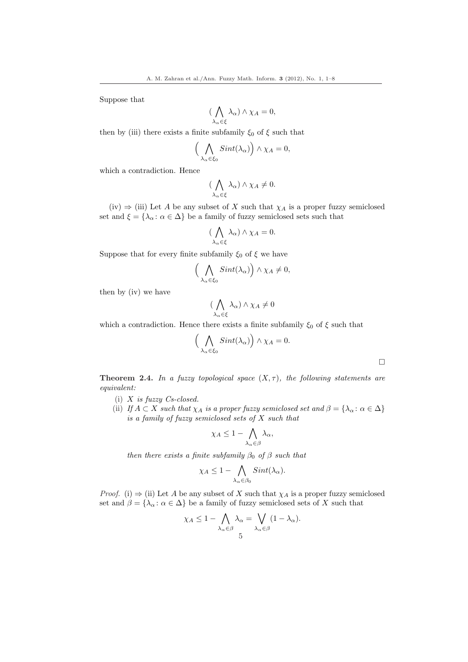Suppose that

$$
(\bigwedge_{\lambda_{\alpha}\in\xi}\lambda_{\alpha})\wedge\chi_A=0,
$$

then by (iii) there exists a finite subfamily  $\xi_0$  of  $\xi$  such that

$$
\Big(\bigwedge_{\lambda_{\alpha}\in\xi_0}Sint(\lambda_{\alpha})\Big)\wedge\chi_A=0,
$$

which a contradiction. Hence

$$
(\bigwedge_{\lambda_{\alpha}\in\xi}\lambda_{\alpha})\wedge\chi_A\neq 0.
$$

(iv)  $\Rightarrow$  (iii) Let A be any subset of X such that  $\chi_A$  is a proper fuzzy semiclosed set and  $\xi = \{\lambda_\alpha : \alpha \in \Delta\}$  be a family of fuzzy semiclosed sets such that

$$
(\bigwedge_{\lambda_{\alpha}\in\xi}\lambda_{\alpha})\wedge\chi_A=0.
$$

Suppose that for every finite subfamily  $\xi_0$  of  $\xi$  we have

$$
\Big(\bigwedge_{\lambda_{\alpha}\in\xi_0}\sint(\lambda_{\alpha})\Big)\wedge\chi_A\neq 0,
$$

then by (iv) we have

$$
(\bigwedge_{\lambda_{\alpha}\in\xi}\lambda_{\alpha})\wedge\chi_A\neq 0
$$

which a contradiction. Hence there exists a finite subfamily  $\xi_0$  of  $\xi$  such that

$$
\Big(\bigwedge_{\lambda_{\alpha}\in\xi_0}\sin t(\lambda_{\alpha})\Big)\wedge\chi_A=0.
$$

 $\Box$ 

**Theorem 2.4.** In a fuzzy topological space  $(X, \tau)$ , the following statements are equivalent:

- (i)  $X$  is fuzzy  $Cs$ -closed.
- (ii) If  $A \subset X$  such that  $\chi_A$  is a proper fuzzy semiclosed set and  $\beta = {\lambda_\alpha : \alpha \in \Delta}$ is a family of fuzzy semiclosed sets of X such that

$$
\chi_A \leq 1 - \bigwedge_{\lambda_\alpha \in \beta} \lambda_\alpha,
$$

then there exists a finite subfamily  $\beta_0$  of  $\beta$  such that

$$
\chi_A \leq 1 - \bigwedge_{\lambda_\alpha \in \beta_0} Sint(\lambda_\alpha).
$$

*Proof.* (i)  $\Rightarrow$  (ii) Let A be any subset of X such that  $\chi_A$  is a proper fuzzy semiclosed set and  $\beta = {\lambda_\alpha : \alpha \in \Delta}$  be a family of fuzzy semiclosed sets of X such that

$$
\chi_A \leq 1 - \bigwedge_{\lambda_\alpha \in \beta} \lambda_\alpha = \bigvee_{\lambda_\alpha \in \beta} (1 - \lambda_\alpha).
$$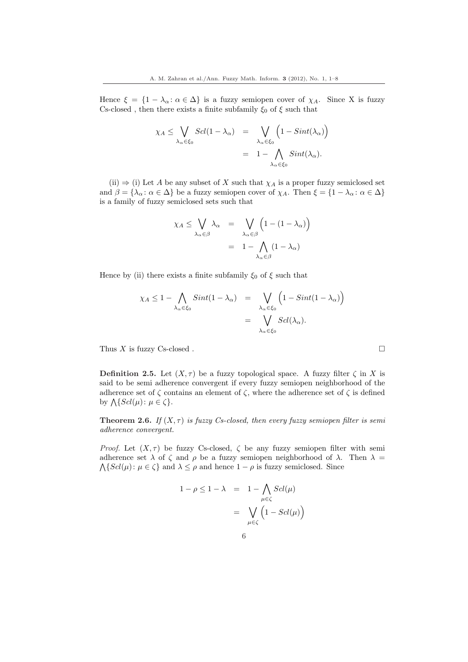Hence  $\xi = \{1 - \lambda_{\alpha} : \alpha \in \Delta\}$  is a fuzzy semiopen cover of  $\chi_A$ . Since X is fuzzy Cs-closed , then there exists a finite subfamily  $\xi_0$  of  $\xi$  such that

$$
\chi_A \leq \bigvee_{\lambda_\alpha \in \xi_0} Sel(1 - \lambda_\alpha) = \bigvee_{\lambda_\alpha \in \xi_0} \left(1 - Sint(\lambda_\alpha)\right)
$$
  
= 
$$
1 - \bigwedge_{\lambda_\alpha \in \xi_0} Sint(\lambda_\alpha).
$$

(ii)  $\Rightarrow$  (i) Let A be any subset of X such that  $\chi_A$  is a proper fuzzy semiclosed set and  $\beta = {\lambda_\alpha : \alpha \in \Delta}$  be a fuzzy semiopen cover of  $\chi_A$ . Then  $\xi = {\{1 - \lambda_\alpha : \alpha \in \Delta}\}$ is a family of fuzzy semiclosed sets such that

$$
\chi_A \leq \bigvee_{\lambda_\alpha \in \beta} \lambda_\alpha = \bigvee_{\lambda_\alpha \in \beta} \left( 1 - (1 - \lambda_\alpha) \right)
$$

$$
= 1 - \bigwedge_{\lambda_\alpha \in \beta} (1 - \lambda_\alpha)
$$

Hence by (ii) there exists a finite subfamily  $\xi_0$  of  $\xi$  such that

$$
\chi_A \le 1 - \bigwedge_{\lambda_\alpha \in \xi_0} Sint(1 - \lambda_\alpha) = \bigvee_{\lambda_\alpha \in \xi_0} \left(1 - Sint(1 - \lambda_\alpha)\right)
$$
  
= 
$$
\bigvee_{\lambda_\alpha \in \xi_0} Scl(\lambda_\alpha).
$$

Thus X is fuzzy Cs-closed .  $\Box$ 

**Definition 2.5.** Let  $(X, \tau)$  be a fuzzy topological space. A fuzzy filter  $\zeta$  in X is said to be semi adherence convergent if every fuzzy semiopen neighborhood of the adherence set of  $\zeta$  contains an element of  $\zeta$ , where the adherence set of  $\zeta$  is defined  $\alpha$  addeduce set of  $\zeta$  con<br>by  $\Lambda\{Scl(\mu): \mu \in \zeta\}.$ 

**Theorem 2.6.** If  $(X, \tau)$  is fuzzy Cs-closed, then every fuzzy semiopen filter is semi adherence convergent.

Proof. Let  $(X, \tau)$  be fuzzy Cs-closed,  $\zeta$  be any fuzzy semiopen filter with semi adherence set  $\lambda$  of  $\zeta$  and  $\rho$  be a fuzzy semiopen neighborhood of  $\lambda$ . Then  $\lambda =$  $\Lambda\{Scl(\mu): \mu \in \zeta\}$  and  $\lambda \leq \rho$  and hence  $1 - \rho$  is fuzzy semiclosed. Since

$$
1 - \rho \le 1 - \lambda = 1 - \bigwedge_{\mu \in \zeta} Sel(\mu)
$$

$$
= \bigvee_{\mu \in \zeta} \left(1 - Sel(\mu)\right)
$$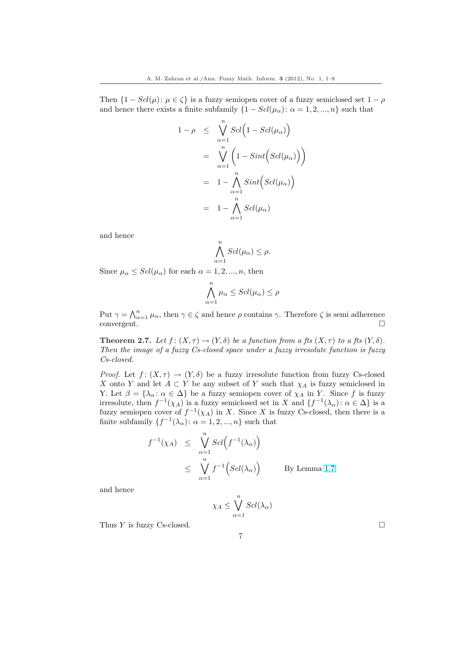Then  $\{1 - Scl(\mu): \mu \in \zeta\}$  is a fuzzy semiopen cover of a fuzzy semiclosed set  $1 - \rho$ and hence there exists a finite subfamily  $\{1 - Scl(\mu_{\alpha}) : \alpha = 1, 2, ..., n\}$  such that

$$
1 - \rho \leq \sqrt{\sum_{\alpha=1}^{n} Scl(1 - Scl(\mu_{\alpha}))}
$$
  
= 
$$
\sqrt{\sum_{\alpha=1}^{n} (1 - Sint(Scl(\mu_{\alpha})))}
$$
  
= 
$$
1 - \bigwedge_{\alpha=1}^{n} Sint(Scl(\mu_{\alpha}))
$$
  
= 
$$
1 - \bigwedge_{\alpha=1}^{n} Scl(\mu_{\alpha})
$$

and hence

$$
\bigwedge_{\alpha=1}^n Sel(\mu_\alpha) \le \rho.
$$

Since  $\mu_{\alpha} \leq Scl(\mu_{\alpha})$  for each  $\alpha = 1, 2, ..., n$ , then

$$
\bigwedge_{\alpha=1}^n \mu_\alpha \leq Scl(\mu_\alpha) \leq \rho
$$

Put  $\gamma = \bigwedge_{\alpha=1}^n \mu_\alpha$ , then  $\gamma \in \zeta$  and hence  $\rho$  contains  $\gamma$ . Therefore  $\zeta$  is semi-adherence  $\Box$ convergent.  $\Box$ 

**Theorem 2.7.** Let  $f: (X, \tau) \to (Y, \delta)$  be a function from a fts  $(X, \tau)$  to a fts  $(Y, \delta)$ . Then the image of a fuzzy Cs-closed space under a fuzzy irresolute function is fuzzy Cs-closed.

*Proof.* Let  $f: (X, \tau) \to (Y, \delta)$  be a fuzzy irresolute function from fuzzy Cs-closed X onto Y and let  $A \subset Y$  be any subset of Y such that  $\chi_A$  is fuzzy semiclosed in Y. Let  $\beta = {\lambda_\alpha : \alpha \in \Delta}$  be a fuzzy semiopen cover of  $\chi_A$  in Y. Since f is fuzzy irresolute, then  $f^{-1}(\chi_A)$  is a fuzzy semiclosed set in X and  $\{f^{-1}(\lambda_\alpha): \alpha \in \Delta\}$  is a fuzzy semiopen cover of  $f^{-1}(\chi_A)$  in X. Since X is fuzzy Cs-closed, then there is a finite subfamily  $\{f^{-1}(\lambda_\alpha): \alpha = 1, 2, ..., n\}$  such that

$$
f^{-1}(\chi_A) \leq \bigvee_{\alpha=1}^n \operatorname{Sel}\left(f^{-1}(\lambda_\alpha)\right)
$$
  
\$\leq \bigvee\_{\alpha=1}^n f^{-1}\left(\operatorname{Sel}(\lambda\_\alpha)\right) \qquad \text{By Lemma 1.7,}

and hence

$$
\chi_A \leq \bigvee_{\alpha=1}^n \mathcal{S}cl(\lambda_\alpha)
$$

7

Thus Y is fuzzy Cs-closed.  $\Box$